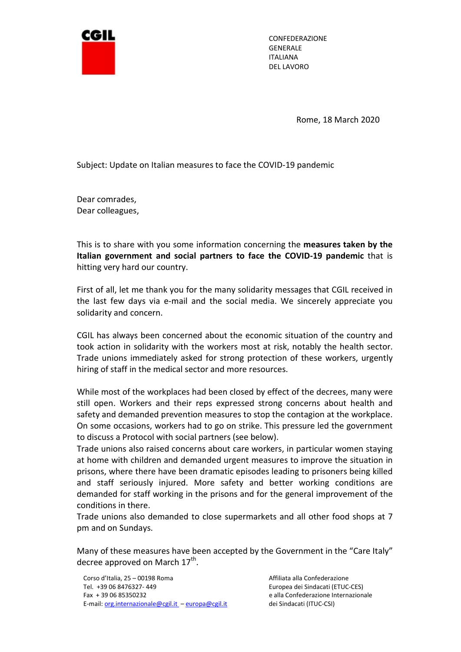

CONFEDERAZIONE GENERALE ITALIANA DEL LAVORO

Rome, 18 March 2020

Subject: Update on Italian measures to face the COVID-19 pandemic

Dear comrades, Dear colleagues,

This is to share with you some information concerning the measures taken by the Italian government and social partners to face the COVID-19 pandemic that is hitting very hard our country.

First of all, let me thank you for the many solidarity messages that CGIL received in the last few days via e-mail and the social media. We sincerely appreciate you solidarity and concern.

CGIL has always been concerned about the economic situation of the country and took action in solidarity with the workers most at risk, notably the health sector. Trade unions immediately asked for strong protection of these workers, urgently hiring of staff in the medical sector and more resources.

While most of the workplaces had been closed by effect of the decrees, many were still open. Workers and their reps expressed strong concerns about health and safety and demanded prevention measures to stop the contagion at the workplace. On some occasions, workers had to go on strike. This pressure led the government to discuss a Protocol with social partners (see below).

Trade unions also raised concerns about care workers, in particular women staying at home with children and demanded urgent measures to improve the situation in prisons, where there have been dramatic episodes leading to prisoners being killed and staff seriously injured. More safety and better working conditions are demanded for staff working in the prisons and for the general improvement of the conditions in there.

Trade unions also demanded to close supermarkets and all other food shops at 7 pm and on Sundays.

Many of these measures have been accepted by the Government in the "Care Italy" decree approved on March 17<sup>th</sup>.

Corso d'Italia, 25 – 00198 Roma (alla Confederazione della Confederazione della Confederazione del 20 Tel. +39 06 8476327- 449 Europea dei Sindacati (ETUC-CES) Fax + 39 06 85350232 e alla Confederazione Internazionale E-mail: org.internazionale@cgil.it – europa@cgil.it dei Sindacati (ITUC-CSI)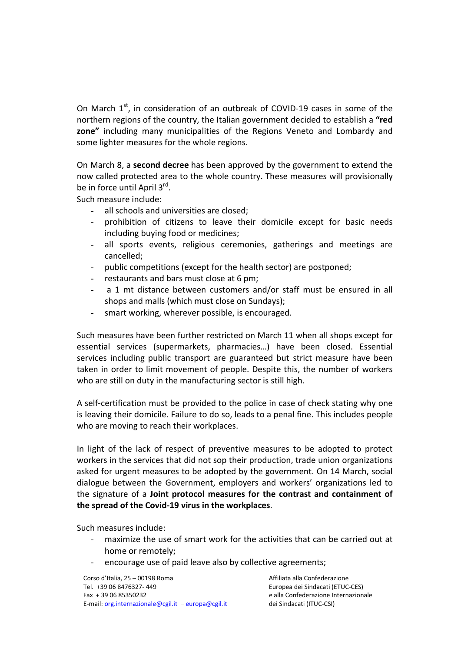On March  $1<sup>st</sup>$ , in consideration of an outbreak of COVID-19 cases in some of the northern regions of the country, the Italian government decided to establish a "red zone" including many municipalities of the Regions Veneto and Lombardy and some lighter measures for the whole regions.

On March 8, a second decree has been approved by the government to extend the now called protected area to the whole country. These measures will provisionally be in force until April 3<sup>rd</sup>.

Such measure include:

- all schools and universities are closed:
- prohibition of citizens to leave their domicile except for basic needs including buying food or medicines;
- all sports events, religious ceremonies, gatherings and meetings are cancelled;
- public competitions (except for the health sector) are postponed;
- restaurants and bars must close at 6 pm;
- a 1 mt distance between customers and/or staff must be ensured in all shops and malls (which must close on Sundays);
- smart working, wherever possible, is encouraged.

Such measures have been further restricted on March 11 when all shops except for essential services (supermarkets, pharmacies…) have been closed. Essential services including public transport are guaranteed but strict measure have been taken in order to limit movement of people. Despite this, the number of workers who are still on duty in the manufacturing sector is still high.

A self-certification must be provided to the police in case of check stating why one is leaving their domicile. Failure to do so, leads to a penal fine. This includes people who are moving to reach their workplaces.

In light of the lack of respect of preventive measures to be adopted to protect workers in the services that did not sop their production, trade union organizations asked for urgent measures to be adopted by the government. On 14 March, social dialogue between the Government, employers and workers' organizations led to the signature of a Joint protocol measures for the contrast and containment of the spread of the Covid-19 virus in the workplaces.

Such measures include:

- maximize the use of smart work for the activities that can be carried out at home or remotely;
- encourage use of paid leave also by collective agreements;

Corso d'Italia, 25 – 00198 Roma (alle confederazione del passa alla Confederazione del passa alla Confederazione Tel. +39 06 8476327- 449 Europea dei Sindacati (ETUC-CES) Fax + 39 06 85350232 e alla Confederazione Internazionale E-mail: org.internazionale@cgil.it – europa@cgil.it dei Sindacati (ITUC-CSI)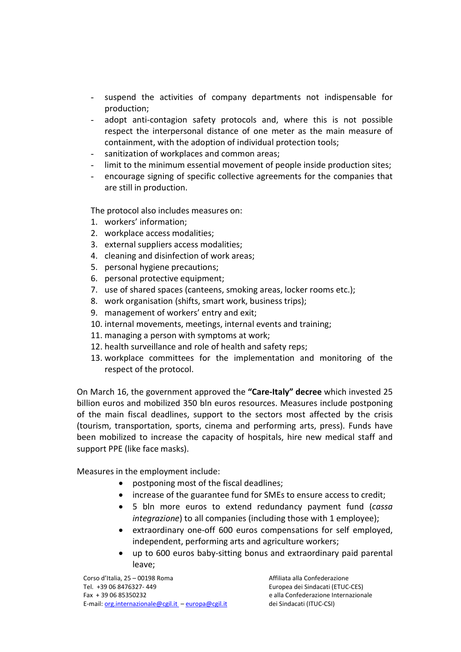- suspend the activities of company departments not indispensable for production;
- adopt anti-contagion safety protocols and, where this is not possible respect the interpersonal distance of one meter as the main measure of containment, with the adoption of individual protection tools;
- sanitization of workplaces and common areas;
- limit to the minimum essential movement of people inside production sites;
- encourage signing of specific collective agreements for the companies that are still in production.

The protocol also includes measures on:

- 1. workers' information;
- 2. workplace access modalities;
- 3. external suppliers access modalities;
- 4. cleaning and disinfection of work areas;
- 5. personal hygiene precautions;
- 6. personal protective equipment;
- 7. use of shared spaces (canteens, smoking areas, locker rooms etc.);
- 8. work organisation (shifts, smart work, business trips);
- 9. management of workers' entry and exit;
- 10. internal movements, meetings, internal events and training;
- 11. managing a person with symptoms at work;
- 12. health surveillance and role of health and safety reps;
- 13. workplace committees for the implementation and monitoring of the respect of the protocol.

On March 16, the government approved the "Care-Italy" decree which invested 25 billion euros and mobilized 350 bln euros resources. Measures include postponing of the main fiscal deadlines, support to the sectors most affected by the crisis (tourism, transportation, sports, cinema and performing arts, press). Funds have been mobilized to increase the capacity of hospitals, hire new medical staff and support PPE (like face masks).

Measures in the employment include:

- postponing most of the fiscal deadlines;
- increase of the guarantee fund for SMEs to ensure access to credit;
- 5 bln more euros to extend redundancy payment fund (cassa integrazione) to all companies (including those with 1 employee);
- extraordinary one-off 600 euros compensations for self employed, independent, performing arts and agriculture workers;
- up to 600 euros baby-sitting bonus and extraordinary paid parental leave;

Corso d'Italia, 25 – 00198 Roma (alla Confederazione della Confederazione della Confederazione Tel. +39 06 8476327- 449 Europea dei Sindacati (ETUC-CES) Fax + 39 06 85350232 e alla Confederazione Internazionale E-mail: org.internazionale@cgil.it – europa@cgil.it dei Sindacati (ITUC-CSI)